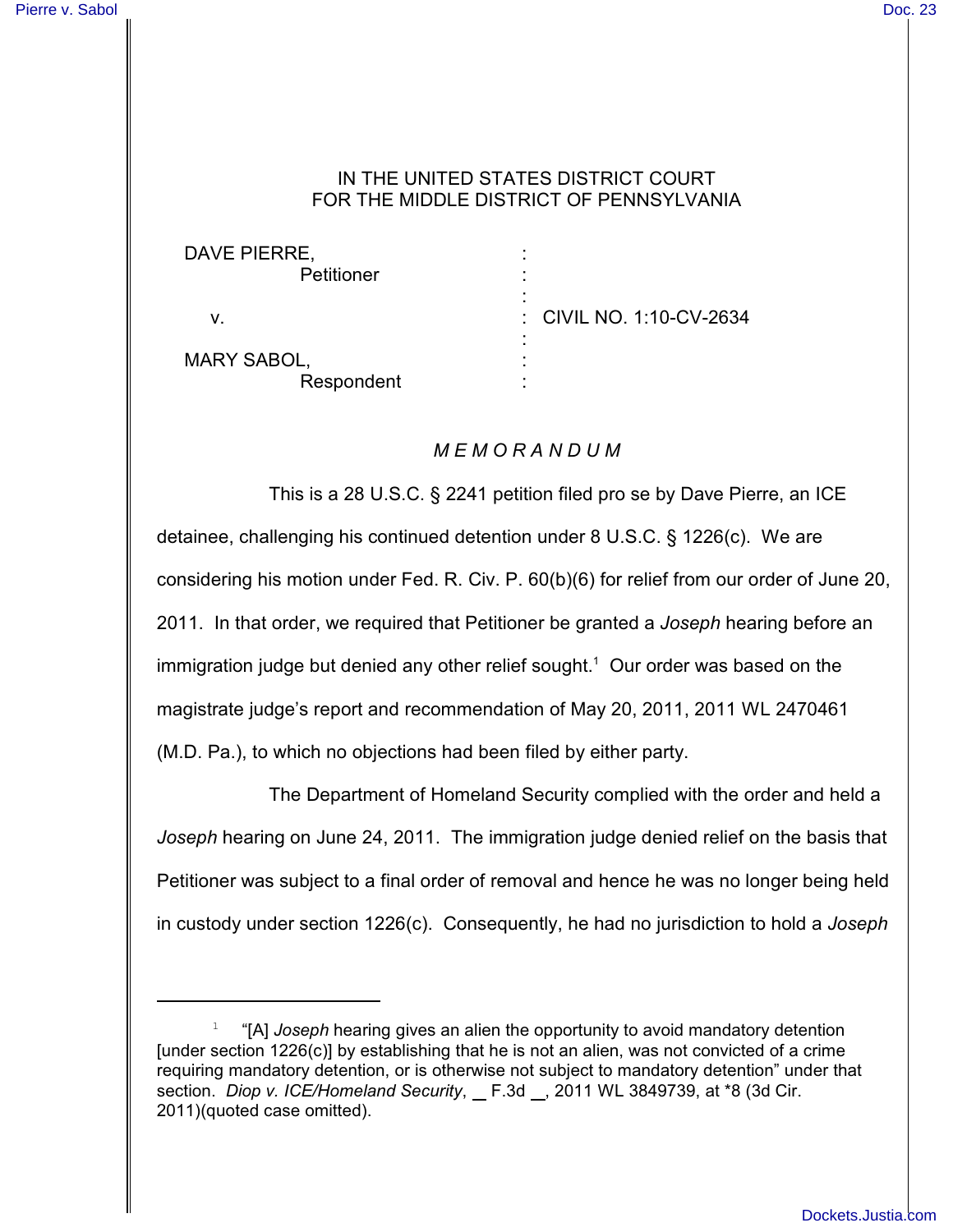## IN THE UNITED STATES DISTRICT COURT FOR THE MIDDLE DISTRICT OF PENNSYLVANIA

: : :

: : :

DAVE PIERRE, **Petitioner** 

v.

: CIVIL NO. 1:10-CV-2634

MARY SABOL, Respondent

## *M E M O R A N D U M*

This is a 28 U.S.C. § 2241 petition filed pro se by Dave Pierre, an ICE detainee, challenging his continued detention under 8 U.S.C. § 1226(c). We are considering his motion under Fed. R. Civ. P. 60(b)(6) for relief from our order of June 20, 2011. In that order, we required that Petitioner be granted a *Joseph* hearing before an immigration judge but denied any other relief sought.<sup>1</sup> Our order was based on the magistrate judge's report and recommendation of May 20, 2011, 2011 WL 2470461 (M.D. Pa.), to which no objections had been filed by either party.

The Department of Homeland Security complied with the order and held a *Joseph* hearing on June 24, 2011. The immigration judge denied relief on the basis that Petitioner was subject to a final order of removal and hence he was no longer being held in custody under section 1226(c). Consequently, he had no jurisdiction to hold a *Joseph*

"[A] *Joseph* hearing gives an alien the opportunity to avoid mandatory detention <sup>1</sup> [under section 1226(c)] by establishing that he is not an alien, was not convicted of a crime requiring mandatory detention, or is otherwise not subject to mandatory detention" under that section. *Diop v. ICE/Homeland Security*, *\_ F.3d \_, 2011 WL 3849739*, at \*8 (3d Cir. 2011)(quoted case omitted).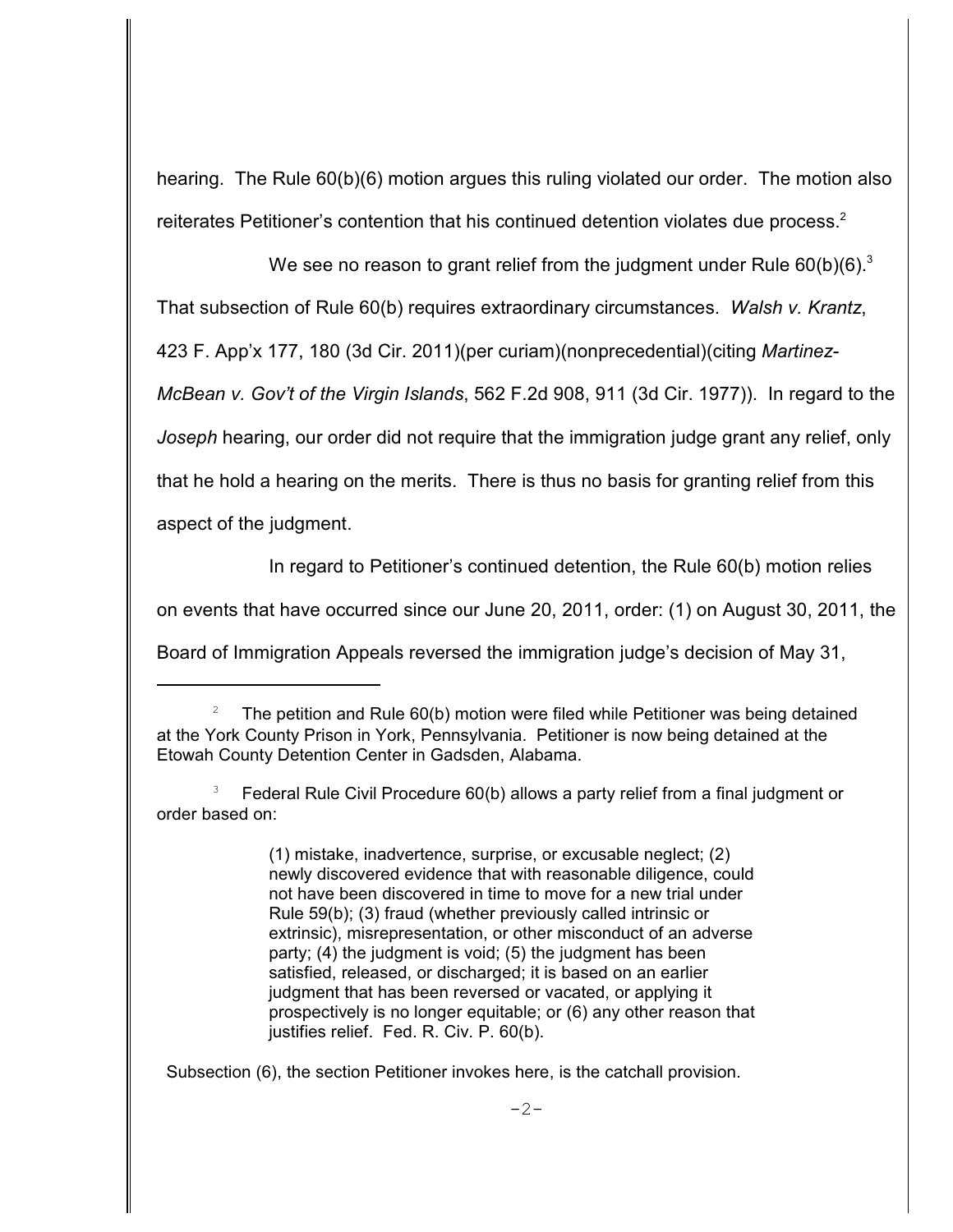hearing. The Rule 60(b)(6) motion argues this ruling violated our order. The motion also reiterates Petitioner's contention that his continued detention violates due process.<sup>2</sup>

We see no reason to grant relief from the judgment under Rule  $60(b)(6)$ .<sup>3</sup>

That subsection of Rule 60(b) requires extraordinary circumstances. *Walsh v. Krantz*,

423 F. App'x 177, 180 (3d Cir. 2011)(per curiam)(nonprecedential)(citing *Martinez-*

*McBean v. Gov't of the Virgin Islands*, 562 F.2d 908, 911 (3d Cir. 1977)). In regard to the *Joseph* hearing, our order did not require that the immigration judge grant any relief, only that he hold a hearing on the merits. There is thus no basis for granting relief from this

aspect of the judgment.

In regard to Petitioner's continued detention, the Rule 60(b) motion relies

on events that have occurred since our June 20, 2011, order: (1) on August 30, 2011, the

Board of Immigration Appeals reversed the immigration judge's decision of May 31,

 Federal Rule Civil Procedure 60(b) allows a party relief from a final judgment or <sup>3</sup> order based on:

> (1) mistake, inadvertence, surprise, or excusable neglect; (2) newly discovered evidence that with reasonable diligence, could not have been discovered in time to move for a new trial under Rule 59(b); (3) fraud (whether previously called intrinsic or extrinsic), misrepresentation, or other misconduct of an adverse party; (4) the judgment is void; (5) the judgment has been satisfied, released, or discharged; it is based on an earlier judgment that has been reversed or vacated, or applying it prospectively is no longer equitable; or (6) any other reason that justifies relief. Fed. R. Civ. P. 60(b).

Subsection (6), the section Petitioner invokes here, is the catchall provision.

The petition and Rule 60(b) motion were filed while Petitioner was being detained <sup>2</sup> at the York County Prison in York, Pennsylvania. Petitioner is now being detained at the Etowah County Detention Center in Gadsden, Alabama.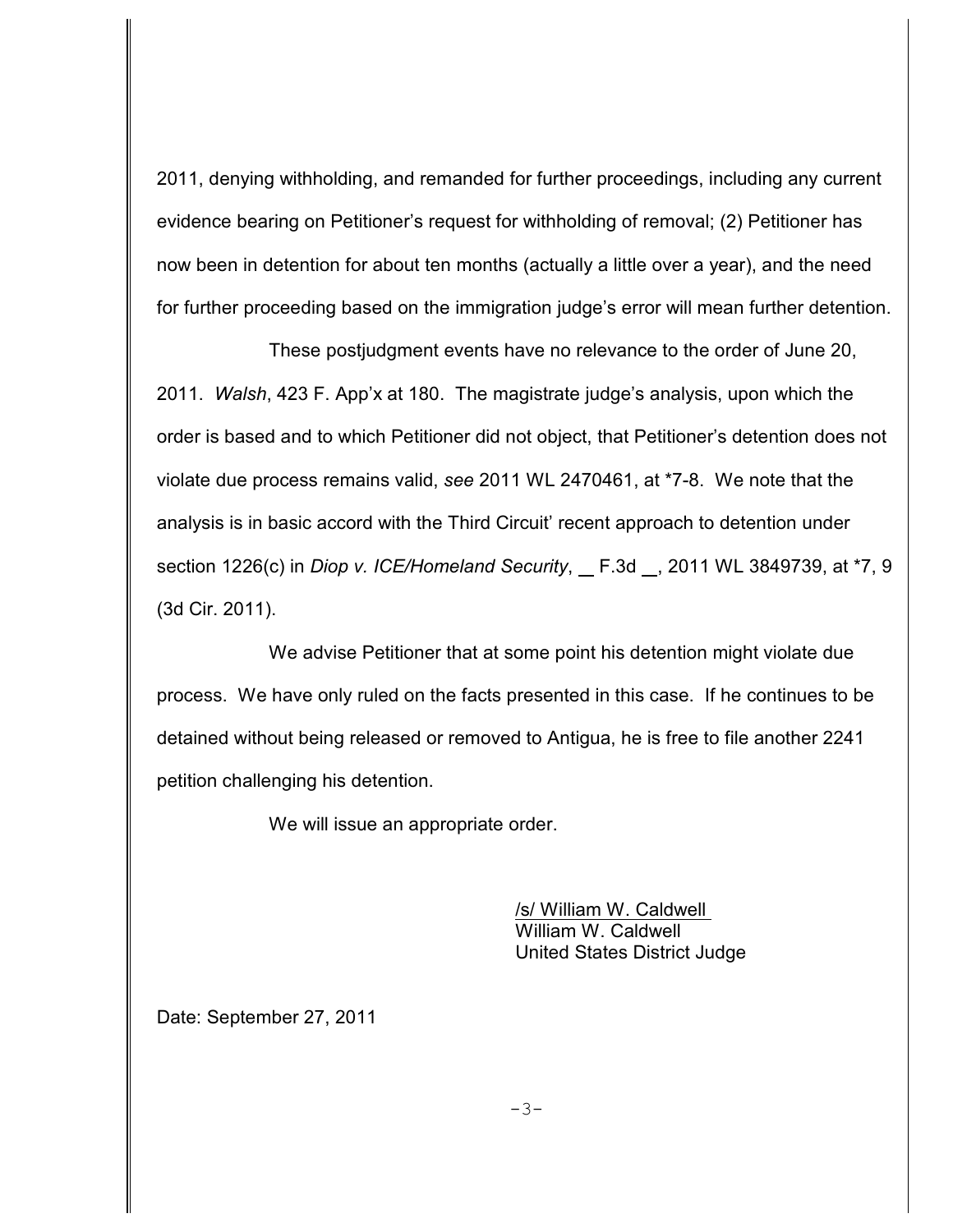2011, denying withholding, and remanded for further proceedings, including any current evidence bearing on Petitioner's request for withholding of removal; (2) Petitioner has now been in detention for about ten months (actually a little over a year), and the need for further proceeding based on the immigration judge's error will mean further detention.

These postjudgment events have no relevance to the order of June 20, 2011. *Walsh*, 423 F. App'x at 180. The magistrate judge's analysis, upon which the order is based and to which Petitioner did not object, that Petitioner's detention does not violate due process remains valid, *see* 2011 WL 2470461, at \*7-8. We note that the analysis is in basic accord with the Third Circuit' recent approach to detention under section 1226(c) in *Diop v. ICE/Homeland Security*, F.3d , 2011 WL 3849739, at \*7, 9 (3d Cir. 2011).

We advise Petitioner that at some point his detention might violate due process. We have only ruled on the facts presented in this case. If he continues to be detained without being released or removed to Antigua, he is free to file another 2241 petition challenging his detention.

We will issue an appropriate order.

/s/ William W. Caldwell William W. Caldwell United States District Judge

Date: September 27, 2011